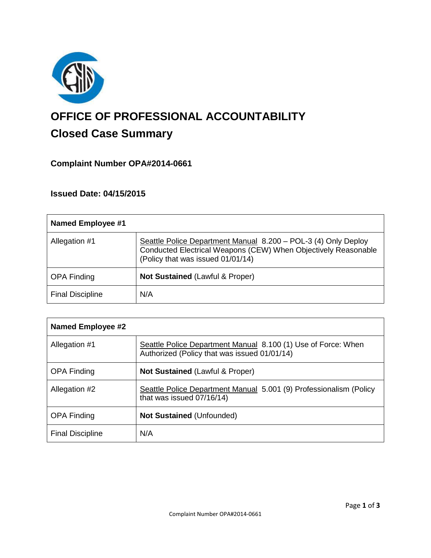

# **OFFICE OF PROFESSIONAL ACCOUNTABILITY Closed Case Summary**

## **Complaint Number OPA#2014-0661**

## **Issued Date: 04/15/2015**

| <b>Named Employee #1</b> |                                                                                                                                                                       |
|--------------------------|-----------------------------------------------------------------------------------------------------------------------------------------------------------------------|
| Allegation #1            | Seattle Police Department Manual 8.200 - POL-3 (4) Only Deploy<br>Conducted Electrical Weapons (CEW) When Objectively Reasonable<br>(Policy that was issued 01/01/14) |
| <b>OPA Finding</b>       | <b>Not Sustained (Lawful &amp; Proper)</b>                                                                                                                            |
| <b>Final Discipline</b>  | N/A                                                                                                                                                                   |

| Named Employee #2       |                                                                                                               |
|-------------------------|---------------------------------------------------------------------------------------------------------------|
| Allegation #1           | Seattle Police Department Manual 8.100 (1) Use of Force: When<br>Authorized (Policy that was issued 01/01/14) |
| <b>OPA Finding</b>      | <b>Not Sustained (Lawful &amp; Proper)</b>                                                                    |
| Allegation #2           | Seattle Police Department Manual 5.001 (9) Professionalism (Policy<br>that was issued 07/16/14)               |
| <b>OPA Finding</b>      | <b>Not Sustained (Unfounded)</b>                                                                              |
| <b>Final Discipline</b> | N/A                                                                                                           |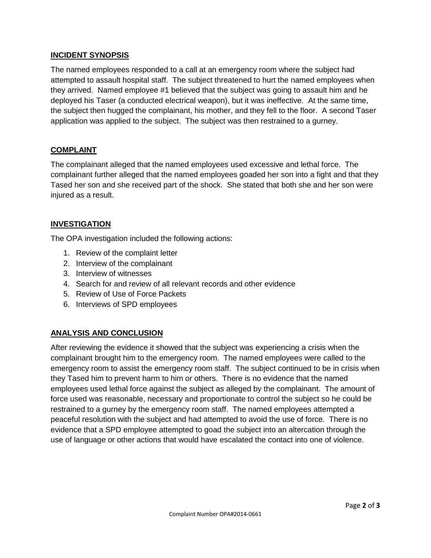## **INCIDENT SYNOPSIS**

The named employees responded to a call at an emergency room where the subject had attempted to assault hospital staff. The subject threatened to hurt the named employees when they arrived. Named employee #1 believed that the subject was going to assault him and he deployed his Taser (a conducted electrical weapon), but it was ineffective. At the same time, the subject then hugged the complainant, his mother, and they fell to the floor. A second Taser application was applied to the subject. The subject was then restrained to a gurney.

### **COMPLAINT**

The complainant alleged that the named employees used excessive and lethal force. The complainant further alleged that the named employees goaded her son into a fight and that they Tased her son and she received part of the shock. She stated that both she and her son were injured as a result.

## **INVESTIGATION**

The OPA investigation included the following actions:

- 1. Review of the complaint letter
- 2. Interview of the complainant
- 3. Interview of witnesses
- 4. Search for and review of all relevant records and other evidence
- 5. Review of Use of Force Packets
- 6. Interviews of SPD employees

## **ANALYSIS AND CONCLUSION**

After reviewing the evidence it showed that the subject was experiencing a crisis when the complainant brought him to the emergency room. The named employees were called to the emergency room to assist the emergency room staff. The subject continued to be in crisis when they Tased him to prevent harm to him or others. There is no evidence that the named employees used lethal force against the subject as alleged by the complainant. The amount of force used was reasonable, necessary and proportionate to control the subject so he could be restrained to a gurney by the emergency room staff. The named employees attempted a peaceful resolution with the subject and had attempted to avoid the use of force. There is no evidence that a SPD employee attempted to goad the subject into an altercation through the use of language or other actions that would have escalated the contact into one of violence.